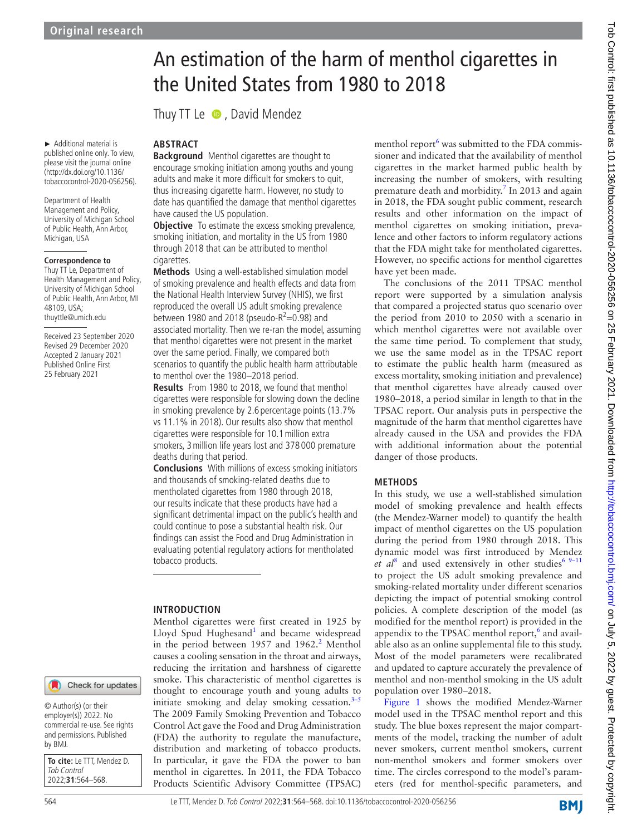► Additional material is published online only. To view, please visit the journal online (http://dx.doi.org/10.1136/ tobaccocontrol-2020-056256).

Department of Health Management and Policy, University of Michigan School of Public Health, Ann Arbor, Michigan, USA

#### **Correspondence to**

Thuy TT Le, Department of Health Management and Policy, University of Michigan School of Public Health, Ann Arbor, MI 48109, USA; thuyttle@umich.edu

Received 23 September 2020 Revised 29 December 2020 Accepted 2 January 2021 Published Online First 25 February 2021

## Check for updates

© Author(s) (or their employer(s)) 2022. No commercial re-use. See rights and permissions. Published by BMJ.

**To cite:** Le TTT, Mendez D. Tob Control 2022;**31**:564–568.

# An estimation of the harm of menthol cigarettes in the United States from 1980 to 2018

Thuy TT Le  $\bullet$ , David Mendez

## **ABSTRACT**

**Background** Menthol cigarettes are thought to encourage smoking initiation among youths and young adults and make it more difficult for smokers to quit, thus increasing cigarette harm. However, no study to date has quantified the damage that menthol cigarettes have caused the US population.

**Objective** To estimate the excess smoking prevalence, smoking initiation, and mortality in the US from 1980 through 2018 that can be attributed to menthol cigarettes.

**Methods** Using a well-established simulation model of smoking prevalence and health effects and data from the National Health Interview Survey (NHIS), we first reproduced the overall US adult smoking prevalence between 1980 and 2018 (pseudo- $R^2$ =0.98) and associated mortality. Then we re-ran the model, assuming that menthol cigarettes were not present in the market over the same period. Finally, we compared both scenarios to quantify the public health harm attributable to menthol over the 1980–2018 period.

**Results** From 1980 to 2018, we found that menthol cigarettes were responsible for slowing down the decline in smoking prevalence by 2.6 percentage points (13.7% vs 11.1% in 2018). Our results also show that menthol cigarettes were responsible for 10.1million extra smokers, 3million life years lost and 378 000 premature deaths during that period.

**Conclusions** With millions of excess smoking initiators and thousands of smoking-related deaths due to mentholated cigarettes from 1980 through 2018, our results indicate that these products have had a significant detrimental impact on the public's health and could continue to pose a substantial health risk. Our findings can assist the Food and Drug Administration in evaluating potential regulatory actions for mentholated tobacco products.

## **INTRODUCTION**

Menthol cigarettes were first created in 1925 by Lloyd Spud Hughesand<sup>[1](#page-4-0)</sup> and became widespread in the period between  $1957$  and  $1962.<sup>2</sup>$  $1962.<sup>2</sup>$  $1962.<sup>2</sup>$  Menthol causes a cooling sensation in the throat and airways, reducing the irritation and harshness of cigarette smoke. This characteristic of menthol cigarettes is thought to encourage youth and young adults to initiate smoking and delay smoking cessation. $3-5$ The 2009 Family Smoking Prevention and Tobacco Control Act gave the Food and Drug Administration (FDA) the authority to regulate the manufacture, distribution and marketing of tobacco products. In particular, it gave the FDA the power to ban menthol in cigarettes. In 2011, the FDA Tobacco Products Scientific Advisory Committee (TPSAC)

menthol report<sup>[6](#page-4-3)</sup> was submitted to the FDA commissioner and indicated that the availability of menthol cigarettes in the market harmed public health by increasing the number of smokers, with resulting premature death and morbidity.<sup>[7](#page-4-4)</sup> In 2013 and again in 2018, the FDA sought public comment, research results and other information on the impact of menthol cigarettes on smoking initiation, prevalence and other factors to inform regulatory actions that the FDA might take for mentholated cigarettes. However, no specific actions for menthol cigarettes have yet been made.

The conclusions of the 2011 TPSAC menthol report were supported by a simulation analysis that compared a projected status quo scenario over the period from 2010 to 2050 with a scenario in which menthol cigarettes were not available over the same time period. To complement that study, we use the same model as in the TPSAC report to estimate the public health harm (measured as excess mortality, smoking initiation and prevalence) that menthol cigarettes have already caused over 1980–2018, a period similar in length to that in the TPSAC report. Our analysis puts in perspective the magnitude of the harm that menthol cigarettes have already caused in the USA and provides the FDA with additional information about the potential danger of those products.

#### **METHODS**

In this study, we use a well-stablished simulation model of smoking prevalence and health effects (the Mendez-Warner model) to quantify the health impact of menthol cigarettes on the US population during the period from 1980 through 2018. This dynamic model was first introduced by Mendez *et al*<sup>[8](#page-4-5)</sup> and used extensively in other studies<sup>6 9-11</sup> to project the US adult smoking prevalence and smoking-related mortality under different scenarios depicting the impact of potential smoking control policies. A complete description of the model (as modified for the menthol report) is provided in the appendix to the TPSAC menthol report,<sup>6</sup> and available also as an [online supplemental file](https://dx.doi.org/10.1136/tobaccocontrol-2020-056256) to this study. Most of the model parameters were recalibrated and updated to capture accurately the prevalence of menthol and non-menthol smoking in the US adult population over 1980–2018.

[Figure](#page-1-0) 1 shows the modified Mendez-Warner model used in the TPSAC menthol report and this study. The blue boxes represent the major compartments of the model, tracking the number of adult never smokers, current menthol smokers, current non-menthol smokers and former smokers over time. The circles correspond to the model's parameters (red for menthol-specific parameters, and

**BMJ**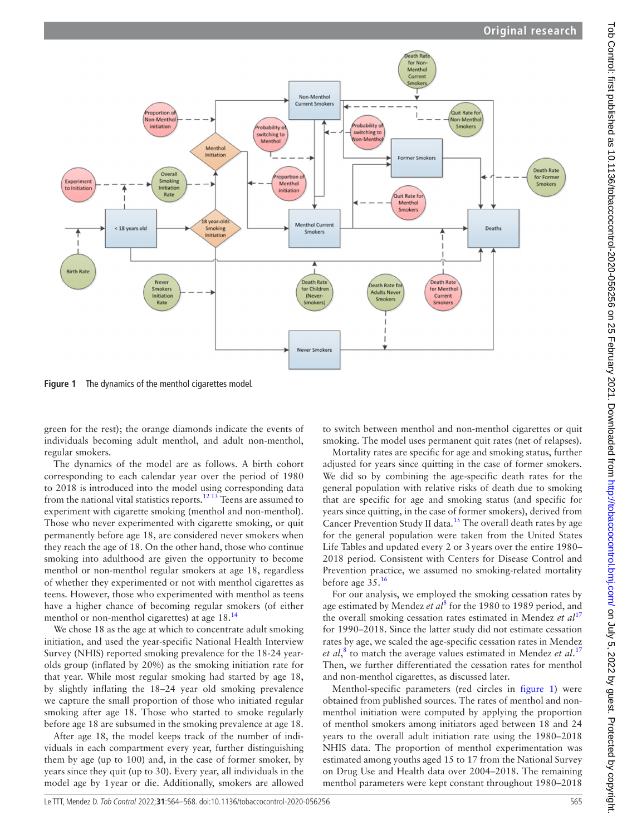

<span id="page-1-0"></span>**Figure 1** The dynamics of the menthol cigarettes model.

green for the rest); the orange diamonds indicate the events of individuals becoming adult menthol, and adult non-menthol, regular smokers.

The dynamics of the model are as follows. A birth cohort corresponding to each calendar year over the period of 1980 to 2018 is introduced into the model using corresponding data from the national vital statistics reports.<sup>[12 13](#page-4-6)</sup> Teens are assumed to experiment with cigarette smoking (menthol and non-menthol). Those who never experimented with cigarette smoking, or quit permanently before age 18, are considered never smokers when they reach the age of 18. On the other hand, those who continue smoking into adulthood are given the opportunity to become menthol or non-menthol regular smokers at age 18, regardless of whether they experimented or not with menthol cigarettes as teens. However, those who experimented with menthol as teens have a higher chance of becoming regular smokers (of either menthol or non-menthol cigarettes) at age 18.<sup>14</sup>

We chose 18 as the age at which to concentrate adult smoking initiation, and used the year-specific National Health Interview Survey (NHIS) reported smoking prevalence for the 18-24 yearolds group (inflated by 20%) as the smoking initiation rate for that year. While most regular smoking had started by age 18, by slightly inflating the 18–24 year old smoking prevalence we capture the small proportion of those who initiated regular smoking after age 18. Those who started to smoke regularly before age 18 are subsumed in the smoking prevalence at age 18.

After age 18, the model keeps track of the number of individuals in each compartment every year, further distinguishing them by age (up to 100) and, in the case of former smoker, by years since they quit (up to 30). Every year, all individuals in the model age by 1year or die. Additionally, smokers are allowed

to switch between menthol and non-menthol cigarettes or quit smoking. The model uses permanent quit rates (net of relapses).

Mortality rates are specific for age and smoking status, further adjusted for years since quitting in the case of former smokers. We did so by combining the age-specific death rates for the general population with relative risks of death due to smoking that are specific for age and smoking status (and specific for years since quitting, in the case of former smokers), derived from Cancer Prevention Study II data.[15](#page-4-8) The overall death rates by age for the general population were taken from the United States Life Tables and updated every 2 or 3years over the entire 1980– 2018 period. Consistent with Centers for Disease Control and Prevention practice, we assumed no smoking-related mortality before age  $35.<sup>16</sup>$  $35.<sup>16</sup>$  $35.<sup>16</sup>$ 

For our analysis, we employed the smoking cessation rates by age estimated by Mendez et al<sup>[8](#page-4-5)</sup> for the 1980 to 1989 period, and the overall smoking cessation rates estimated in Mendez *et al*<sup>[17](#page-4-10)</sup> for 1990–2018. Since the latter study did not estimate cessation rates by age, we scaled the age-specific cessation rates in Mendez *et al*, [8](#page-4-5) to match the average values estimated in Mendez *et al*. [17](#page-4-10) Then, we further differentiated the cessation rates for menthol and non-menthol cigarettes, as discussed later.

Menthol-specific parameters (red circles in [figure](#page-1-0) 1) were obtained from published sources. The rates of menthol and nonmenthol initiation were computed by applying the proportion of menthol smokers among initiators aged between 18 and 24 years to the overall adult initiation rate using the 1980–2018 NHIS data. The proportion of menthol experimentation was estimated among youths aged 15 to 17 from the National Survey on Drug Use and Health data over 2004–2018. The remaining menthol parameters were kept constant throughout 1980–2018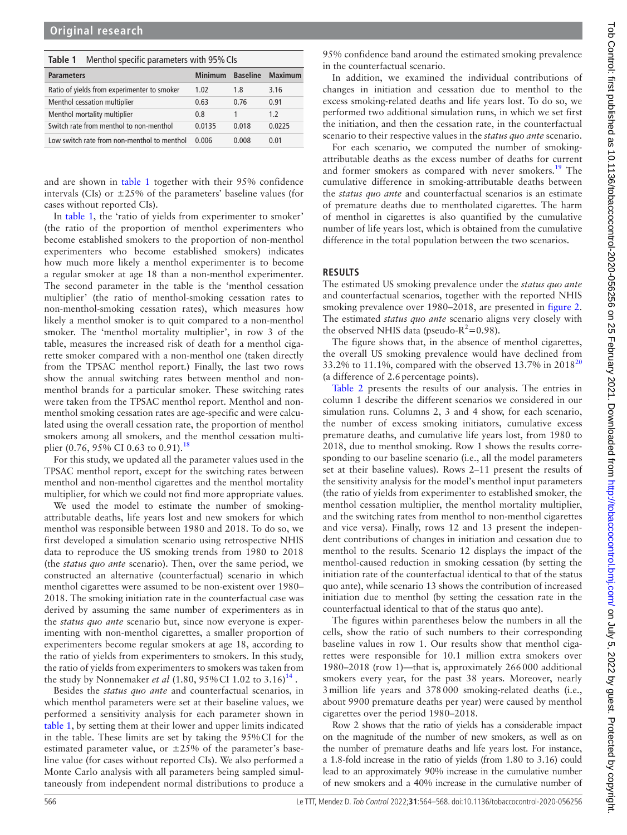## <span id="page-2-0"></span>Table 1 Menthol specific parameters with 95% CIs

| <b>Parameters</b>                           | Minimum | <b>Baseline</b> | <b>Maximum</b> |
|---------------------------------------------|---------|-----------------|----------------|
| Ratio of yields from experimenter to smoker | 1.02    | 1.8             | 3.16           |
| Menthol cessation multiplier                | 0.63    | 0.76            | 0.91           |
| Menthol mortality multiplier                | 0.8     |                 | 1.2            |
| Switch rate from menthol to non-menthol     | 0.0135  | 0.018           | 0.0225         |
| Low switch rate from non-menthol to menthol | 0.006   | 0.008           | 0.01           |

and are shown in [table](#page-2-0) 1 together with their 95% confidence intervals (CIs) or  $\pm 25\%$  of the parameters' baseline values (for cases without reported CIs).

In [table](#page-2-0) 1, the 'ratio of yields from experimenter to smoker' (the ratio of the proportion of menthol experimenters who become established smokers to the proportion of non-menthol experimenters who become established smokers) indicates how much more likely a menthol experimenter is to become a regular smoker at age 18 than a non-menthol experimenter. The second parameter in the table is the 'menthol cessation multiplier' (the ratio of menthol-smoking cessation rates to non-menthol-smoking cessation rates), which measures how likely a menthol smoker is to quit compared to a non-menthol smoker. The 'menthol mortality multiplier', in row 3 of the table, measures the increased risk of death for a menthol cigarette smoker compared with a non-menthol one (taken directly from the TPSAC menthol report.) Finally, the last two rows show the annual switching rates between menthol and nonmenthol brands for a particular smoker. These switching rates were taken from the TPSAC menthol report. Menthol and nonmenthol smoking cessation rates are age-specific and were calculated using the overall cessation rate, the proportion of menthol smokers among all smokers, and the menthol cessation multi-plier (0.76, 95% CI 0.63 to 0.91).<sup>[18](#page-4-11)</sup>

For this study, we updated all the parameter values used in the TPSAC menthol report, except for the switching rates between menthol and non-menthol cigarettes and the menthol mortality multiplier, for which we could not find more appropriate values.

We used the model to estimate the number of smokingattributable deaths, life years lost and new smokers for which menthol was responsible between 1980 and 2018. To do so, we first developed a simulation scenario using retrospective NHIS data to reproduce the US smoking trends from 1980 to 2018 (the *status quo ante* scenario). Then, over the same period, we constructed an alternative (counterfactual) scenario in which menthol cigarettes were assumed to be non-existent over 1980– 2018. The smoking initiation rate in the counterfactual case was derived by assuming the same number of experimenters as in the *status quo ante* scenario but, since now everyone is experimenting with non-menthol cigarettes, a smaller proportion of experimenters become regular smokers at age 18, according to the ratio of yields from experimenters to smokers. In this study, the ratio of yields from experimenters to smokers was taken from the study by Nonnemaker *et al*  $(1.80, 95\% \text{ CI } 1.02 \text{ to } 3.16)^{14}$  $(1.80, 95\% \text{ CI } 1.02 \text{ to } 3.16)^{14}$  $(1.80, 95\% \text{ CI } 1.02 \text{ to } 3.16)^{14}$ .

Besides the *status quo ante* and counterfactual scenarios, in which menthol parameters were set at their baseline values, we performed a sensitivity analysis for each parameter shown in [table](#page-2-0) 1, by setting them at their lower and upper limits indicated in the table. These limits are set by taking the 95%CI for the estimated parameter value, or  $\pm 25\%$  of the parameter's baseline value (for cases without reported CIs). We also performed a Monte Carlo analysis with all parameters being sampled simultaneously from independent normal distributions to produce a

95% confidence band around the estimated smoking prevalence in the counterfactual scenario.

In addition, we examined the individual contributions of changes in initiation and cessation due to menthol to the excess smoking-related deaths and life years lost. To do so, we performed two additional simulation runs, in which we set first the initiation, and then the cessation rate, in the counterfactual scenario to their respective values in the *status quo ante* scenario.

For each scenario, we computed the number of smokingattributable deaths as the excess number of deaths for current and former smokers as compared with never smokers.<sup>19</sup> The cumulative difference in smoking-attributable deaths between the *status quo ante* and counterfactual scenarios is an estimate of premature deaths due to mentholated cigarettes. The harm of menthol in cigarettes is also quantified by the cumulative number of life years lost, which is obtained from the cumulative difference in the total population between the two scenarios.

### **RESULTS**

The estimated US smoking prevalence under the *status quo ante* and counterfactual scenarios, together with the reported NHIS smoking prevalence over 1980–2018, are presented in [figure](#page-3-0) 2. The estimated *status quo ante* scenario aligns very closely with the observed NHIS data (pseudo- $R^2$ =0.98).

The figure shows that, in the absence of menthol cigarettes, the overall US smoking prevalence would have declined from 33.2% to 11.1%, compared with the observed 13.7% in  $2018^{20}$  $2018^{20}$ (a difference of 2.6percentage points).

[Table](#page-3-1) 2 presents the results of our analysis. The entries in column 1 describe the different scenarios we considered in our simulation runs. Columns 2, 3 and 4 show, for each scenario, the number of excess smoking initiators, cumulative excess premature deaths, and cumulative life years lost, from 1980 to 2018, due to menthol smoking. Row 1 shows the results corresponding to our baseline scenario (i.e., all the model parameters set at their baseline values). Rows 2–11 present the results of the sensitivity analysis for the model's menthol input parameters (the ratio of yields from experimenter to established smoker, the menthol cessation multiplier, the menthol mortality multiplier, and the switching rates from menthol to non-menthol cigarettes and vice versa). Finally, rows 12 and 13 present the independent contributions of changes in initiation and cessation due to menthol to the results. Scenario 12 displays the impact of the menthol-caused reduction in smoking cessation (by setting the initiation rate of the counterfactual identical to that of the status quo ante), while scenario 13 shows the contribution of increased initiation due to menthol (by setting the cessation rate in the counterfactual identical to that of the status quo ante).

The figures within parentheses below the numbers in all the cells, show the ratio of such numbers to their corresponding baseline values in row 1. Our results show that menthol cigarettes were responsible for 10.1 million extra smokers over 1980–2018 (row 1)—that is, approximately 266000 additional smokers every year, for the past 38 years. Moreover, nearly 3million life years and 378000 smoking-related deaths (i.e., about 9900 premature deaths per year) were caused by menthol cigarettes over the period 1980–2018.

Row 2 shows that the ratio of yields has a considerable impact on the magnitude of the number of new smokers, as well as on the number of premature deaths and life years lost. For instance, a 1.8-fold increase in the ratio of yields (from 1.80 to 3.16) could lead to an approximately 90% increase in the cumulative number of new smokers and a 40% increase in the cumulative number of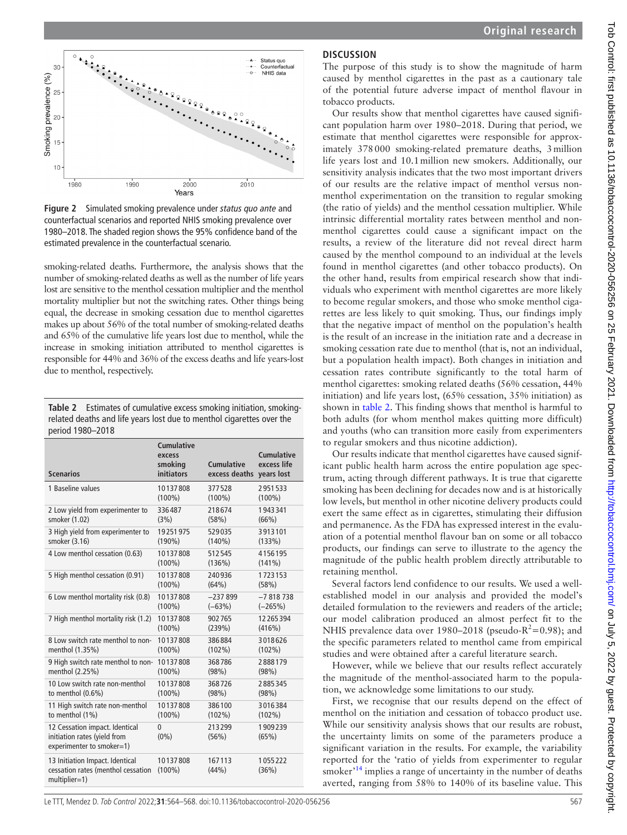

<span id="page-3-0"></span>**Figure 2** Simulated smoking prevalence under *status quo ante* and counterfactual scenarios and reported NHIS smoking prevalence over 1980–2018. The shaded region shows the 95% confidence band of the estimated prevalence in the counterfactual scenario.

smoking-related deaths. Furthermore, the analysis shows that the number of smoking-related deaths as well as the number of life years lost are sensitive to the menthol cessation multiplier and the menthol mortality multiplier but not the switching rates. Other things being equal, the decrease in smoking cessation due to menthol cigarettes makes up about 56% of the total number of smoking-related deaths and 65% of the cumulative life years lost due to menthol, while the increase in smoking initiation attributed to menthol cigarettes is responsible for 44% and 36% of the excess deaths and life years-lost due to menthol, respectively.

<span id="page-3-1"></span>

|                  | Table 2 Estimates of cumulative excess smoking initiation, smoking-   |
|------------------|-----------------------------------------------------------------------|
|                  | related deaths and life years lost due to menthol cigarettes over the |
| period 1980-2018 |                                                                       |

| <b>Scenarios</b>                                                                            | <b>Cumulative</b><br>excess<br>smoking<br><b>initiators</b> | <b>Cumulative</b><br>excess deaths | <b>Cumulative</b><br>excess life<br>years lost |
|---------------------------------------------------------------------------------------------|-------------------------------------------------------------|------------------------------------|------------------------------------------------|
| 1 Baseline values                                                                           | 10137808                                                    | 377528                             | 2951533                                        |
|                                                                                             | $(100\%)$                                                   | $(100\%)$                          | $(100\%)$                                      |
| 2 Low yield from experimenter to                                                            | 336487                                                      | 218674                             | 1943341                                        |
| smoker (1.02)                                                                               | (3%)                                                        | (58%)                              | (66%)                                          |
| 3 High yield from experimenter to                                                           | 19251975                                                    | 529035                             | 3913101                                        |
| smoker (3.16)                                                                               | $(190\%)$                                                   | $(140\%)$                          | (133%)                                         |
| 4 Low menthol cessation (0.63)                                                              | 10137808                                                    | 512545                             | 4156195                                        |
|                                                                                             | $(100\%)$                                                   | (136%)                             | $(141\%)$                                      |
| 5 High menthol cessation (0.91)                                                             | 10137808                                                    | 240936                             | 1723153                                        |
|                                                                                             | $(100\%)$                                                   | (64%)                              | (58%)                                          |
| 6 Low menthol mortality risk (0.8)                                                          | 10137808                                                    | $-237899$                          | $-7818738$                                     |
|                                                                                             | $(100\%)$                                                   | $(-63%)$                           | $(-265%)$                                      |
| 7 High menthol mortality risk (1.2)                                                         | 10137808                                                    | 902765                             | 12265394                                       |
|                                                                                             | $(100\%)$                                                   | (239%)                             | (416%)                                         |
| 8 Low switch rate menthol to non-                                                           | 10137808                                                    | 386884                             | 3018626                                        |
| menthol (1.35%)                                                                             | $(100\%)$                                                   | $(102\%)$                          | $(102\%)$                                      |
| 9 High switch rate menthol to non-                                                          | 10137808                                                    | 368786                             | 2888179                                        |
| menthol (2.25%)                                                                             | $(100\%)$                                                   | (98%)                              | (98%)                                          |
| 10 Low switch rate non-menthol                                                              | 10137808                                                    | 368726                             | 2885345                                        |
| to menthol $(0.6%)$                                                                         | $(100\%)$                                                   | (98%)                              | (98%)                                          |
| 11 High switch rate non-menthol                                                             | 10137808                                                    | 386100                             | 3016384                                        |
| to menthol (1%)                                                                             | $(100\%)$                                                   | $(102\%)$                          | $(102\%)$                                      |
| 12 Cessation impact. Identical<br>initiation rates (yield from<br>experimenter to smoker=1) | 0<br>$(0\%)$                                                | 213299<br>(56%)                    | 1909239<br>(65%)                               |
| 13 Initiation Impact. Identical<br>cessation rates (menthol cessation<br>multiplier=1)      | 10137808<br>$(100\%)$                                       | 167113<br>(44%)                    | 1055222<br>(36%)                               |

# **DISCUSSION**

The purpose of this study is to show the magnitude of harm caused by menthol cigarettes in the past as a cautionary tale of the potential future adverse impact of menthol flavour in tobacco products.

Our results show that menthol cigarettes have caused significant population harm over 1980–2018. During that period, we estimate that menthol cigarettes were responsible for approximately 378000 smoking-related premature deaths, 3million life years lost and 10.1million new smokers. Additionally, our sensitivity analysis indicates that the two most important drivers of our results are the relative impact of menthol versus nonmenthol experimentation on the transition to regular smoking (the ratio of yields) and the menthol cessation multiplier. While intrinsic differential mortality rates between menthol and nonmenthol cigarettes could cause a significant impact on the results, a review of the literature did not reveal direct harm caused by the menthol compound to an individual at the levels found in menthol cigarettes (and other tobacco products). On the other hand, results from empirical research show that individuals who experiment with menthol cigarettes are more likely to become regular smokers, and those who smoke menthol cigarettes are less likely to quit smoking. Thus, our findings imply that the negative impact of menthol on the population's health is the result of an increase in the initiation rate and a decrease in smoking cessation rate due to menthol (that is, not an individual, but a population health impact). Both changes in initiation and cessation rates contribute significantly to the total harm of menthol cigarettes: smoking related deaths (56% cessation, 44% initiation) and life years lost, (65% cessation, 35% initiation) as shown in [table](#page-3-1) 2. This finding shows that menthol is harmful to both adults (for whom menthol makes quitting more difficult) and youths (who can transition more easily from experimenters to regular smokers and thus nicotine addiction).

Our results indicate that menthol cigarettes have caused significant public health harm across the entire population age spectrum, acting through different pathways. It is true that cigarette smoking has been declining for decades now and is at historically low levels, but menthol in other nicotine delivery products could exert the same effect as in cigarettes, stimulating their diffusion and permanence. As the FDA has expressed interest in the evaluation of a potential menthol flavour ban on some or all tobacco products, our findings can serve to illustrate to the agency the magnitude of the public health problem directly attributable to retaining menthol.

Several factors lend confidence to our results. We used a wellestablished model in our analysis and provided the model's detailed formulation to the reviewers and readers of the article; our model calibration produced an almost perfect fit to the NHIS prevalence data over 1980–2018 (pseudo- $R^2$ =0.98); and the specific parameters related to menthol came from empirical studies and were obtained after a careful literature search.

However, while we believe that our results reflect accurately the magnitude of the menthol-associated harm to the population, we acknowledge some limitations to our study.

First, we recognise that our results depend on the effect of menthol on the initiation and cessation of tobacco product use. While our sensitivity analysis shows that our results are robust, the uncertainty limits on some of the parameters produce a significant variation in the results. For example, the variability reported for the 'ratio of yields from experimenter to regular smoker<sup>'[14](#page-4-7)</sup> implies a range of uncertainty in the number of deaths averted, ranging from 58% to 140% of its baseline value. This